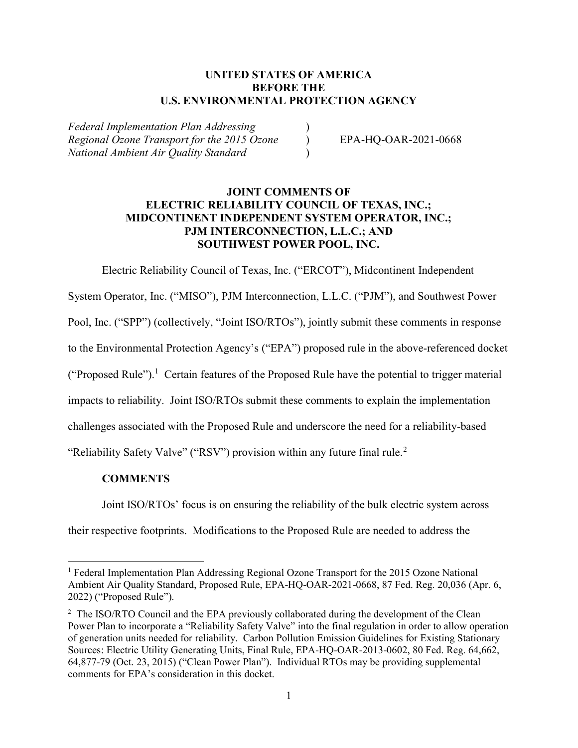## UNITED STATES OF AMERICA BEFORE THE U.S. ENVIRONMENTAL PROTECTION AGENCY

Federal Implementation Plan Addressing ) Regional Ozone Transport for the 2015 Ozone (b) EPA-HQ-OAR-2021-0668 National Ambient Air Quality Standard )

## JOINT COMMENTS OF ELECTRIC RELIABILITY COUNCIL OF TEXAS, INC.; MIDCONTINENT INDEPENDENT SYSTEM OPERATOR, INC.; PJM INTERCONNECTION, L.L.C.; AND SOUTHWEST POWER POOL, INC.

Electric Reliability Council of Texas, Inc. ("ERCOT"), Midcontinent Independent System Operator, Inc. ("MISO"), PJM Interconnection, L.L.C. ("PJM"), and Southwest Power

Pool, Inc. ("SPP") (collectively, "Joint ISO/RTOs"), jointly submit these comments in response

to the Environmental Protection Agency's ("EPA") proposed rule in the above-referenced docket

("Proposed Rule").<sup>1</sup> Certain features of the Proposed Rule have the potential to trigger material

impacts to reliability. Joint ISO/RTOs submit these comments to explain the implementation

challenges associated with the Proposed Rule and underscore the need for a reliability-based

"Reliability Safety Valve" ("RSV") provision within any future final rule.<sup>2</sup>

## **COMMENTS**

Joint ISO/RTOs' focus is on ensuring the reliability of the bulk electric system across

their respective footprints. Modifications to the Proposed Rule are needed to address the

<sup>&</sup>lt;sup>1</sup> Federal Implementation Plan Addressing Regional Ozone Transport for the 2015 Ozone National Ambient Air Quality Standard, Proposed Rule, EPA-HQ-OAR-2021-0668, 87 Fed. Reg. 20,036 (Apr. 6, 2022) ("Proposed Rule").

<sup>&</sup>lt;sup>2</sup> The ISO/RTO Council and the EPA previously collaborated during the development of the Clean Power Plan to incorporate a "Reliability Safety Valve" into the final regulation in order to allow operation of generation units needed for reliability. Carbon Pollution Emission Guidelines for Existing Stationary Sources: Electric Utility Generating Units, Final Rule, EPA-HQ-OAR-2013-0602, 80 Fed. Reg. 64,662, 64,877-79 (Oct. 23, 2015) ("Clean Power Plan"). Individual RTOs may be providing supplemental comments for EPA's consideration in this docket.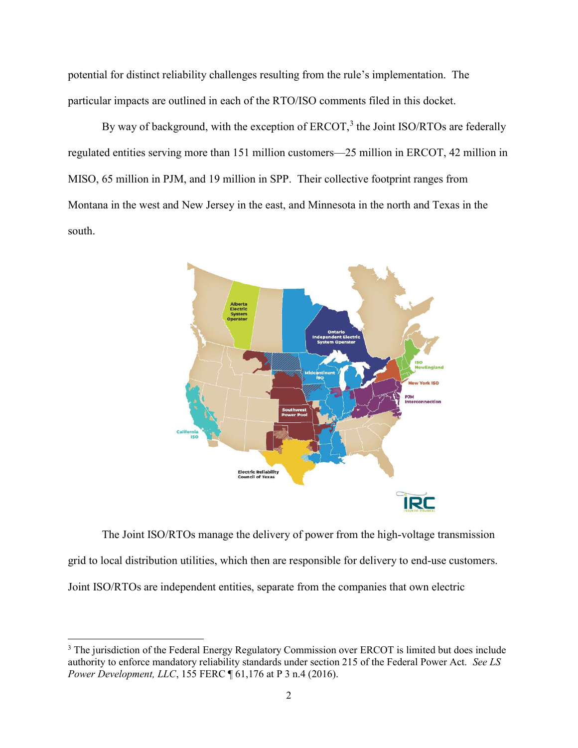potential for distinct reliability challenges resulting from the rule's implementation. The particular impacts are outlined in each of the RTO/ISO comments filed in this docket.

By way of background, with the exception of  $ERCOT$ ,<sup>3</sup> the Joint ISO/RTOs are federally regulated entities serving more than 151 million customers—25 million in ERCOT, 42 million in MISO, 65 million in PJM, and 19 million in SPP. Their collective footprint ranges from Montana in the west and New Jersey in the east, and Minnesota in the north and Texas in the south.



The Joint ISO/RTOs manage the delivery of power from the high-voltage transmission grid to local distribution utilities, which then are responsible for delivery to end-use customers. Joint ISO/RTOs are independent entities, separate from the companies that own electric

 $\overline{a}$ 

<sup>&</sup>lt;sup>3</sup> The jurisdiction of the Federal Energy Regulatory Commission over ERCOT is limited but does include authority to enforce mandatory reliability standards under section 215 of the Federal Power Act. See LS Power Development, LLC, 155 FERC ¶ 61,176 at P 3 n.4 (2016).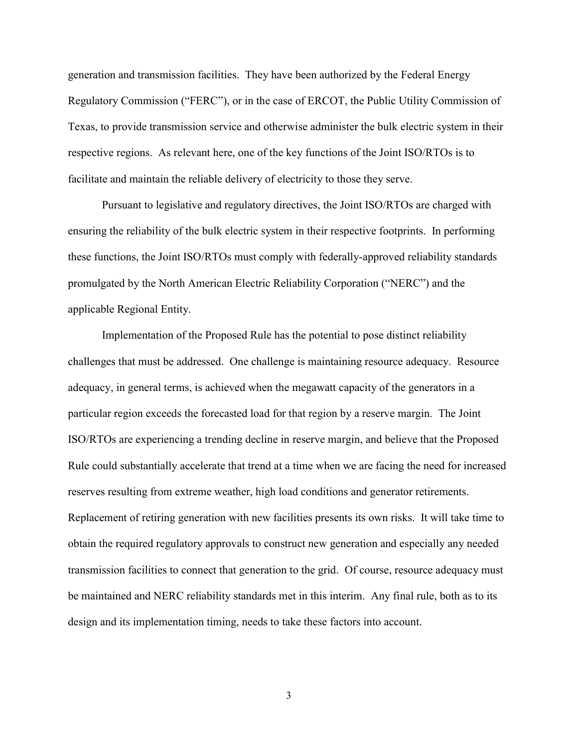generation and transmission facilities. They have been authorized by the Federal Energy Regulatory Commission ("FERC"), or in the case of ERCOT, the Public Utility Commission of Texas, to provide transmission service and otherwise administer the bulk electric system in their respective regions. As relevant here, one of the key functions of the Joint ISO/RTOs is to facilitate and maintain the reliable delivery of electricity to those they serve.

Pursuant to legislative and regulatory directives, the Joint ISO/RTOs are charged with ensuring the reliability of the bulk electric system in their respective footprints. In performing these functions, the Joint ISO/RTOs must comply with federally-approved reliability standards promulgated by the North American Electric Reliability Corporation ("NERC") and the applicable Regional Entity.

Implementation of the Proposed Rule has the potential to pose distinct reliability challenges that must be addressed. One challenge is maintaining resource adequacy. Resource adequacy, in general terms, is achieved when the megawatt capacity of the generators in a particular region exceeds the forecasted load for that region by a reserve margin. The Joint ISO/RTOs are experiencing a trending decline in reserve margin, and believe that the Proposed Rule could substantially accelerate that trend at a time when we are facing the need for increased reserves resulting from extreme weather, high load conditions and generator retirements. Replacement of retiring generation with new facilities presents its own risks. It will take time to obtain the required regulatory approvals to construct new generation and especially any needed transmission facilities to connect that generation to the grid. Of course, resource adequacy must be maintained and NERC reliability standards met in this interim. Any final rule, both as to its design and its implementation timing, needs to take these factors into account.

3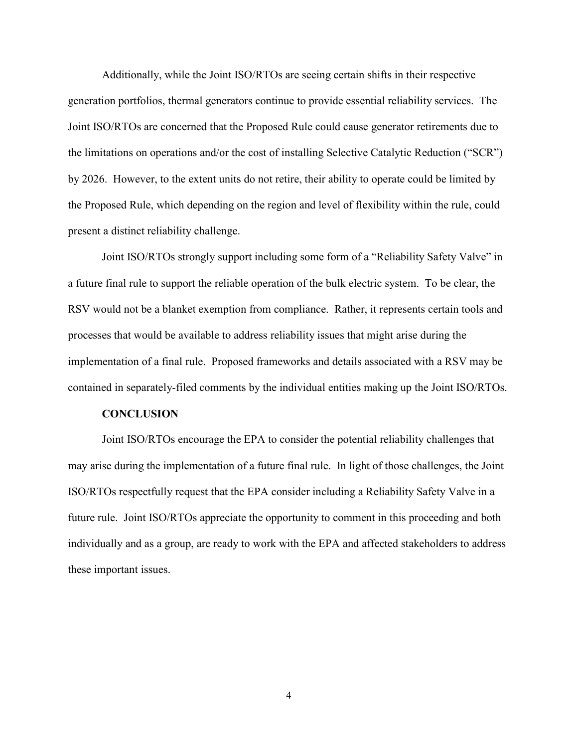Additionally, while the Joint ISO/RTOs are seeing certain shifts in their respective generation portfolios, thermal generators continue to provide essential reliability services. The Joint ISO/RTOs are concerned that the Proposed Rule could cause generator retirements due to the limitations on operations and/or the cost of installing Selective Catalytic Reduction ("SCR") by 2026. However, to the extent units do not retire, their ability to operate could be limited by the Proposed Rule, which depending on the region and level of flexibility within the rule, could present a distinct reliability challenge.

Joint ISO/RTOs strongly support including some form of a "Reliability Safety Valve" in a future final rule to support the reliable operation of the bulk electric system. To be clear, the RSV would not be a blanket exemption from compliance. Rather, it represents certain tools and processes that would be available to address reliability issues that might arise during the implementation of a final rule. Proposed frameworks and details associated with a RSV may be contained in separately-filed comments by the individual entities making up the Joint ISO/RTOs.

## **CONCLUSION**

Joint ISO/RTOs encourage the EPA to consider the potential reliability challenges that may arise during the implementation of a future final rule. In light of those challenges, the Joint ISO/RTOs respectfully request that the EPA consider including a Reliability Safety Valve in a future rule. Joint ISO/RTOs appreciate the opportunity to comment in this proceeding and both individually and as a group, are ready to work with the EPA and affected stakeholders to address these important issues.